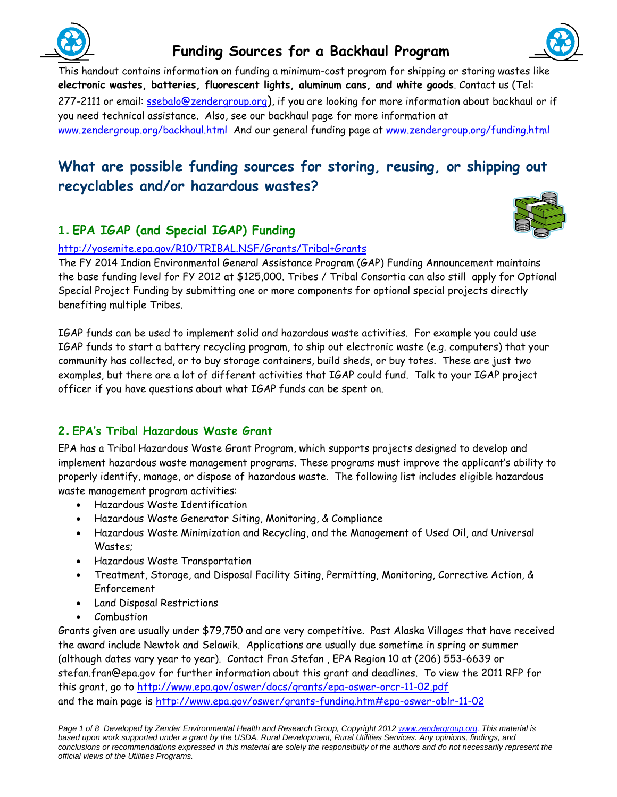

# **Funding Sources for a Backhaul Program**



This handout contains information on funding a minimum-cost program for shipping or storing wastes like **electronic wastes, batteries, fluorescent lights, aluminum cans, and white goods**. Contact us (Tel: 277-2111 or email: ssebalo@zendergroup.org), if you are looking for more information about backhaul or if you need technical assistance. Also, see our backhaul page for more information at www.zendergroup.org/backhaul.html And our general funding page at www.zendergroup.org/funding.html

# **What are possible funding sources for storing, reusing, or shipping out recyclables and/or hazardous wastes?**

# 1. **EPA IGAP (and Special IGAP) Funding**



http://yosemite.epa.gov/R10/TRIBAL.NSF/Grants/Tribal+Grants

The FY 2014 Indian Environmental General Assistance Program (GAP) Funding Announcement maintains the base funding level for FY 2012 at \$125,000. Tribes / Tribal Consortia can also still apply for Optional Special Project Funding by submitting one or more components for optional special projects directly benefiting multiple Tribes.

IGAP funds can be used to implement solid and hazardous waste activities. For example you could use IGAP funds to start a battery recycling program, to ship out electronic waste (e.g. computers) that your community has collected, or to buy storage containers, build sheds, or buy totes. These are just two examples, but there are a lot of different activities that IGAP could fund. Talk to your IGAP project officer if you have questions about what IGAP funds can be spent on.

# 2. **EPA's Tribal Hazardous Waste Grant**

EPA has a Tribal Hazardous Waste Grant Program, which supports projects designed to develop and implement hazardous waste management programs. These programs must improve the applicant's ability to properly identify, manage, or dispose of hazardous waste. The following list includes eligible hazardous waste management program activities:

- Hazardous Waste Identification
- Hazardous Waste Generator Siting, Monitoring, & Compliance
- Hazardous Waste Minimization and Recycling, and the Management of Used Oil, and Universal Wastes;
- Hazardous Waste Transportation
- Treatment, Storage, and Disposal Facility Siting, Permitting, Monitoring, Corrective Action, & Enforcement
- Land Disposal Restrictions
- Combustion

Grants given are usually under \$79,750 and are very competitive. Past Alaska Villages that have received the award include Newtok and Selawik. Applications are usually due sometime in spring or summer (although dates vary year to year). Contact Fran Stefan , EPA Region 10 at (206) 553-6639 or stefan.fran@epa.gov for further information about this grant and deadlines. To view the 2011 RFP for this grant, go to http://www.epa.gov/oswer/docs/grants/epa-oswer-orcr-11-02.pdf and the main page is http://www.epa.gov/oswer/grants-funding.htm#epa-oswer-oblr-11-02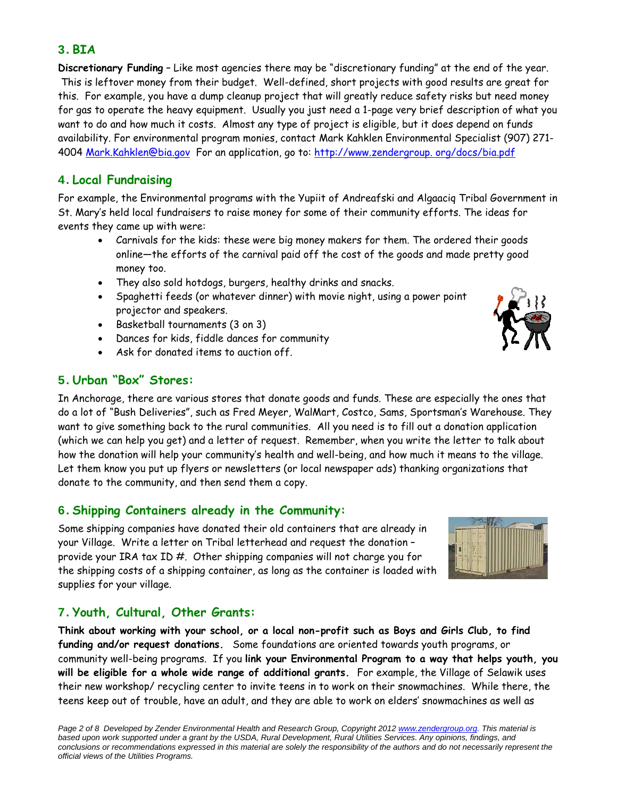#### 3. **BIA**

**Discretionary Funding** – Like most agencies there may be "discretionary funding" at the end of the year. This is leftover money from their budget. Well-defined, short projects with good results are great for this. For example, you have a dump cleanup project that will greatly reduce safety risks but need money for gas to operate the heavy equipment. Usually you just need a 1-page very brief description of what you want to do and how much it costs. Almost any type of project is eligible, but it does depend on funds availability. For environmental program monies, contact Mark Kahklen Environmental Specialist (907) 271- 4004 Mark.Kahklen@bia.gov For an application, go to: http://www.zendergroup. org/docs/bia.pdf

## 4. **Local Fundraising**

For example, the Environmental programs with the Yupiit of Andreafski and Algaaciq Tribal Government in St. Mary's held local fundraisers to raise money for some of their community efforts. The ideas for events they came up with were:

- Carnivals for the kids: these were big money makers for them. The ordered their goods online—the efforts of the carnival paid off the cost of the goods and made pretty good money too.
- They also sold hotdogs, burgers, healthy drinks and snacks.
- Spaghetti feeds (or whatever dinner) with movie night, using a power point projector and speakers.
- Basketball tournaments (3 on 3)
- Dances for kids, fiddle dances for community
- Ask for donated items to auction off.

#### 5. **Urban "Box" Stores:**

In Anchorage, there are various stores that donate goods and funds. These are especially the ones that do a lot of "Bush Deliveries", such as Fred Meyer, WalMart, Costco, Sams, Sportsman's Warehouse. They want to give something back to the rural communities. All you need is to fill out a donation application (which we can help you get) and a letter of request. Remember, when you write the letter to talk about how the donation will help your community's health and well-being, and how much it means to the village. Let them know you put up flyers or newsletters (or local newspaper ads) thanking organizations that donate to the community, and then send them a copy.

#### 6. **Shipping Containers already in the Community:**

Some shipping companies have donated their old containers that are already in your Village. Write a letter on Tribal letterhead and request the donation – provide your IRA tax ID #. Other shipping companies will not charge you for the shipping costs of a shipping container, as long as the container is loaded with supplies for your village.

#### 7. **Youth, Cultural, Other Grants:**

**Think about working with your school, or a local non-profit such as Boys and Girls Club, to find funding and/or request donations.** Some foundations are oriented towards youth programs, or community well-being programs. If you **link your Environmental Program to a way that helps youth, you will be eligible for a whole wide range of additional grants.** For example, the Village of Selawik uses their new workshop/ recycling center to invite teens in to work on their snowmachines. While there, the teens keep out of trouble, have an adult, and they are able to work on elders' snowmachines as well as



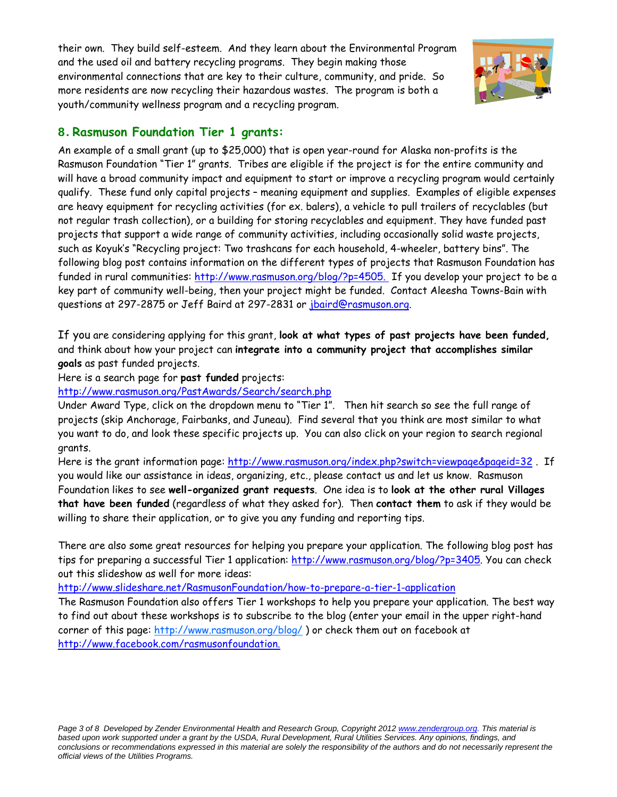their own. They build self-esteem. And they learn about the Environmental Program and the used oil and battery recycling programs. They begin making those environmental connections that are key to their culture, community, and pride. So more residents are now recycling their hazardous wastes. The program is both a youth/community wellness program and a recycling program.



#### 8. **Rasmuson Foundation Tier 1 grants:**

An example of a small grant (up to \$25,000) that is open year-round for Alaska non-profits is the Rasmuson Foundation "Tier 1" grants. Tribes are eligible if the project is for the entire community and will have a broad community impact and equipment to start or improve a recycling program would certainly qualify. These fund only capital projects – meaning equipment and supplies. Examples of eligible expenses are heavy equipment for recycling activities (for ex. balers), a vehicle to pull trailers of recyclables (but not regular trash collection), or a building for storing recyclables and equipment. They have funded past projects that support a wide range of community activities, including occasionally solid waste projects, such as Koyuk's "Recycling project: Two trashcans for each household, 4-wheeler, battery bins". The following blog post contains information on the different types of projects that Rasmuson Foundation has funded in rural communities: http://www.rasmuson.org/blog/?p=4505. If you develop your project to be a key part of community well-being, then your project might be funded. Contact Aleesha Towns-Bain with questions at 297-2875 or Jeff Baird at 297-2831 or jbaird@rasmuson.org.

If you are considering applying for this grant, **look at what types of past projects have been funded,** and think about how your project can **integrate into a community project that accomplishes similar goals** as past funded projects.

#### Here is a search page for **past funded** projects:

http://www.rasmuson.org/PastAwards/Search/search.php

Under Award Type, click on the dropdown menu to "Tier 1". Then hit search so see the full range of projects (skip Anchorage, Fairbanks, and Juneau). Find several that you think are most similar to what you want to do, and look these specific projects up. You can also click on your region to search regional grants.

Here is the grant information page: http://www.rasmuson.org/index.php?switch=viewpage&pageid=32. If you would like our assistance in ideas, organizing, etc., please contact us and let us know. Rasmuson Foundation likes to see **well-organized grant requests**. One idea is to **look at the other rural Villages that have been funded** (regardless of what they asked for). Then **contact them** to ask if they would be willing to share their application, or to give you any funding and reporting tips.

There are also some great resources for helping you prepare your application. The following blog post has tips for preparing a successful Tier 1 application: http://www.rasmuson.org/blog/?p=3405. You can check out this slideshow as well for more ideas:

http://www.slideshare.net/RasmusonFoundation/how-to-prepare-a-tier-1-application

The Rasmuson Foundation also offers Tier 1 workshops to help you prepare your application. The best way to find out about these workshops is to subscribe to the blog (enter your email in the upper right-hand corner of this page: http://www.rasmuson.org/blog/ ) or check them out on facebook at http://www.facebook.com/rasmusonfoundation.

*Page 3 of 8 Developed by Zender Environmental Health and Research Group, Copyright 2012 www.zendergroup.org. This material is based upon work supported under a grant by the USDA, Rural Development, Rural Utilities Services. Any opinions, findings, and conclusions or recommendations expressed in this material are solely the responsibility of the authors and do not necessarily represent the official views of the Utilities Programs.*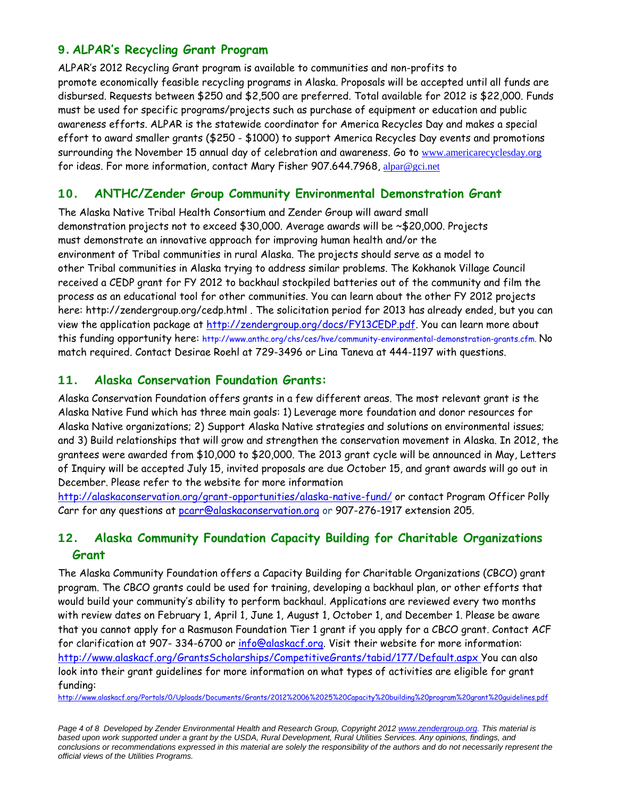## 9. **ALPAR's Recycling Grant Program**

ALPAR's 2012 Recycling Grant program is available to communities and non-profits to promote economically feasible recycling programs in Alaska. Proposals will be accepted until all funds are disbursed. Requests between \$250 and \$2,500 are preferred. Total available for 2012 is \$22,000. Funds must be used for specific programs/projects such as purchase of equipment or education and public awareness efforts. ALPAR is the statewide coordinator for America Recycles Day and makes a special effort to award smaller grants (\$250 - \$1000) to support America Recycles Day events and promotions surrounding the November 15 annual day of celebration and awareness. Go to www.americarecyclesday.org for ideas. For more information, contact Mary Fisher 907.644.7968, alpar@gci.net

# 10. **ANTHC/Zender Group Community Environmental Demonstration Grant**

The Alaska Native Tribal Health Consortium and Zender Group will award small demonstration projects not to exceed \$30,000. Average awards will be ~\$20,000. Projects must demonstrate an innovative approach for improving human health and/or the environment of Tribal communities in rural Alaska. The projects should serve as a model to other Tribal communities in Alaska trying to address similar problems. The Kokhanok Village Council received a CEDP grant for FY 2012 to backhaul stockpiled batteries out of the community and film the process as an educational tool for other communities. You can learn about the other FY 2012 projects here: http://zendergroup.org/cedp.html . The solicitation period for 2013 has already ended, but you can view the application package at http://zendergroup.org/docs/FY13CEDP.pdf. You can learn more about this funding opportunity here: http://www.anthc.org/chs/ces/hve/community-environmental-demonstration-grants.cfm. No match required. Contact Desirae Roehl at 729-3496 or Lina Taneva at 444-1197 with questions.

#### 11. **Alaska Conservation Foundation Grants:**

Alaska Conservation Foundation offers grants in a few different areas. The most relevant grant is the Alaska Native Fund which has three main goals: 1) Leverage more foundation and donor resources for Alaska Native organizations; 2) Support Alaska Native strategies and solutions on environmental issues; and 3) Build relationships that will grow and strengthen the conservation movement in Alaska. In 2012, the grantees were awarded from \$10,000 to \$20,000. The 2013 grant cycle will be announced in May, Letters of Inquiry will be accepted July 15, invited proposals are due October 15, and grant awards will go out in December. Please refer to the website for more information

http://alaskaconservation.org/grant-opportunities/alaska-native-fund/ or contact Program Officer Polly Carr for any questions at pcarr@alaskaconservation.org or 907-276-1917 extension 205.

## 12. **Alaska Community Foundation Capacity Building for Charitable Organizations Grant**

The Alaska Community Foundation offers a Capacity Building for Charitable Organizations (CBCO) grant program. The CBCO grants could be used for training, developing a backhaul plan, or other efforts that would build your community's ability to perform backhaul. Applications are reviewed every two months with review dates on February 1, April 1, June 1, August 1, October 1, and December 1. Please be aware that you cannot apply for a Rasmuson Foundation Tier 1 grant if you apply for a CBCO grant. Contact ACF for clarification at 907- 334-6700 or info@alaskacf.org. Visit their website for more information: http://www.alaskacf.org/GrantsScholarships/CompetitiveGrants/tabid/177/Default.aspx You can also look into their grant guidelines for more information on what types of activities are eligible for grant funding:

http://www.alaskacf.org/Portals/0/Uploads/Documents/Grants/2012%2006%2025%20Capacity%20building%20program%20grant%20guidelines.pdf

*Page 4 of 8 Developed by Zender Environmental Health and Research Group, Copyright 2012 www.zendergroup.org. This material is based upon work supported under a grant by the USDA, Rural Development, Rural Utilities Services. Any opinions, findings, and*  conclusions or recommendations expressed in this material are solely the responsibility of the authors and do not necessarily represent the *official views of the Utilities Programs.*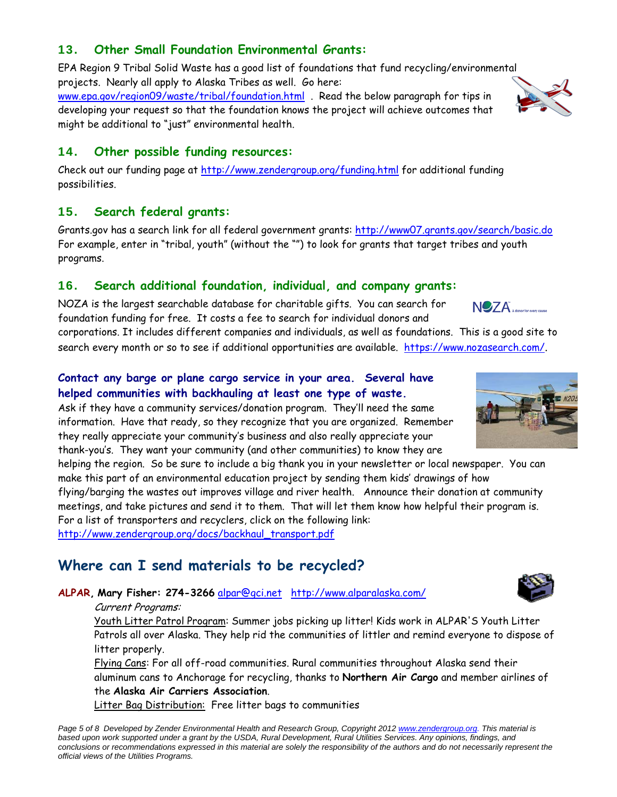# 13. **Other Small Foundation Environmental Grants:**

EPA Region 9 Tribal Solid Waste has a good list of foundations that fund recycling/environmental projects. Nearly all apply to Alaska Tribes as well. Go here: www.epa.gov/region09/waste/tribal/foundation.html . Read the below paragraph for tips in developing your request so that the foundation knows the project will achieve outcomes that might be additional to "just" environmental health.

#### 14. **Other possible funding resources:**

Check out our funding page at http://www.zendergroup.org/funding.html for additional funding possibilities.

#### 15. **Search federal grants:**

Grants.gov has a search link for all federal government grants: http://www07.grants.gov/search/basic.do For example, enter in "tribal, youth" (without the "") to look for grants that target tribes and youth programs.

#### 16. **Search additional foundation, individual, and company grants:**

NOZA is the largest searchable database for charitable gifts. You can search for foundation funding for free. It costs a fee to search for individual donors and

corporations. It includes different companies and individuals, as well as foundations. This is a good site to search every month or so to see if additional opportunities are available. https://www.nozasearch.com/.

## **Contact any barge or plane cargo service in your area. Several have helped communities with backhauling at least one type of waste.**

Ask if they have a community services/donation program. They'll need the same information. Have that ready, so they recognize that you are organized. Remember they really appreciate your community's business and also really appreciate your

thank-you's. They want your community (and other communities) to know they are helping the region. So be sure to include a big thank you in your newsletter or local newspaper. You can make this part of an environmental education project by sending them kids' drawings of how flying/barging the wastes out improves village and river health. Announce their donation at community

meetings, and take pictures and send it to them. That will let them know how helpful their program is. For a list of transporters and recyclers, click on the following link: http://www.zendergroup.org/docs/backhaul\_transport.pdf

# **Where can I send materials to be recycled?**

**ALPAR, Mary Fisher: 274-3266** alpar@gci.net http://www.alparalaska.com/

#### Current Programs:

Youth Litter Patrol Program: Summer jobs picking up litter! Kids work in ALPAR'S Youth Litter Patrols all over Alaska. They help rid the communities of littler and remind everyone to dispose of litter properly.

Flying Cans: For all off-road communities. Rural communities throughout Alaska send their aluminum cans to Anchorage for recycling, thanks to **Northern Air Cargo** and member airlines of the **Alaska Air Carriers Association**.

Litter Bag Distribution: Free litter bags to communities

*Page 5 of 8 Developed by Zender Environmental Health and Research Group, Copyright 2012 www.zendergroup.org. This material is based upon work supported under a grant by the USDA, Rural Development, Rural Utilities Services. Any opinions, findings, and*  conclusions or recommendations expressed in this material are solely the responsibility of the authors and do not necessarily represent the *official views of the Utilities Programs.* 



**NOZA** 



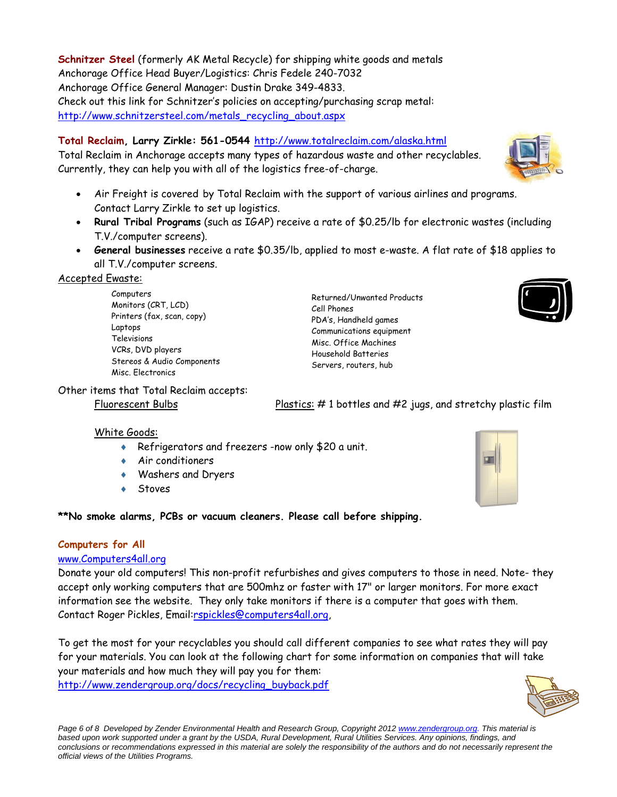**Schnitzer Steel** (formerly AK Metal Recycle) for shipping white goods and metals Anchorage Office Head Buyer/Logistics: Chris Fedele 240-7032 Anchorage Office General Manager: Dustin Drake 349-4833. Check out this link for Schnitzer's policies on accepting/purchasing scrap metal: http://www.schnitzersteel.com/metals\_recycling\_about.aspx

## **Total Reclaim, Larry Zirkle: 561-0544** http://www.totalreclaim.com/alaska.html

Total Reclaim in Anchorage accepts many types of hazardous waste and other recyclables. Currently, they can help you with all of the logistics free-of-charge.

- Air Freight is covered by Total Reclaim with the support of various airlines and programs. Contact Larry Zirkle to set up logistics.
- **Rural Tribal Programs** (such as IGAP) receive a rate of \$0.25/lb for electronic wastes (including T.V./computer screens).
- **General businesses** receive a rate \$0.35/lb, applied to most e-waste. A flat rate of \$18 applies to all T.V./computer screens.

#### Accepted Ewaste:

Computers Monitors (CRT, LCD) Printers (fax, scan, copy) Laptops Televisions VCRs, DVD players Stereos & Audio Components Misc. Electronics

Returned/Unwanted Products Cell Phones PDA's, Handheld games Communications equipment Misc. Office Machines Household Batteries Servers, routers, hub



# Other items that Total Reclaim accepts:

Fluorescent Bulbs Plastics: #1 bottles and #2 jugs, and stretchy plastic film

#### White Goods:

- Refrigerators and freezers -now only \$20 a unit.
- Air conditioners
- Washers and Dryers
- Stoves

**\*\*No smoke alarms, PCBs or vacuum cleaners. Please call before shipping.** 

#### **Computers for All**

#### www.Computers4all.org

Donate your old computers! This non-profit refurbishes and gives computers to those in need. Note- they accept only working computers that are 500mhz or faster with 17" or larger monitors. For more exact information see the website. They only take monitors if there is a computer that goes with them. Contact Roger Pickles, Email:rspickles@computers4all.org,

To get the most for your recyclables you should call different companies to see what rates they will pay for your materials. You can look at the following chart for some information on companies that will take your materials and how much they will pay you for them:

http://www.zendergroup.org/docs/recycling\_buyback.pdf